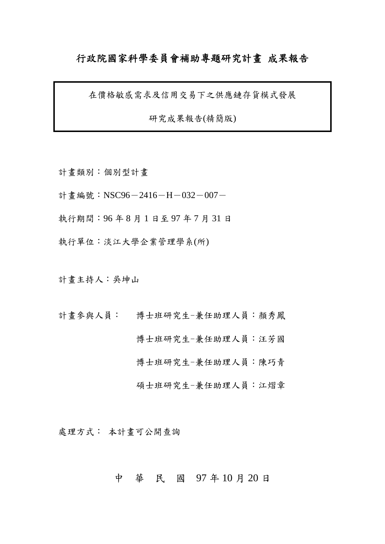# 行政院國家科學委員會補助專題研究計畫 成果報告

在價格敏感需求及信用交易下之供應鏈存貨模式發展

研究成果報告(精簡版)

- 計畫類別:個別型計畫
- 計書編號:NSC96-2416-H-032-007-
- 執行期間:96 年 8 月 1 日至 97 年 7 月 31 日
- 執行單位:淡江大學企業管理學系(所)

計畫主持人:吳坤山

計畫參與人員: 博士班研究生-兼任助理人員:顏秀鳳

博士班研究生-兼任助理人員:汪芳國

博士班研究生-兼任助理人員:陳巧青

碩士班研究生-兼任助理人員:江熠章

處理方式: 本計畫可公開查詢

# 中 華 民 國 97 年 10 月 20 日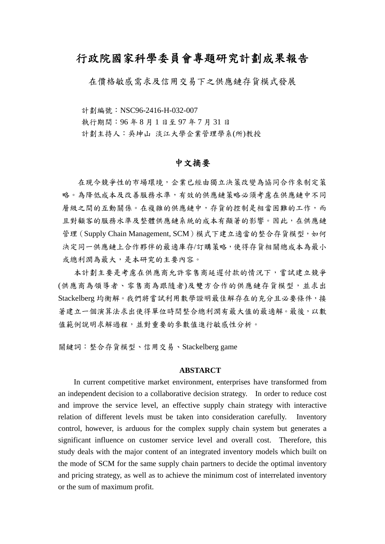# 行政院國家科學委員會專題研究計劃成果報告

在價格敏感需求及信用交易下之供應鏈存貨模式發展

計劃編號:NSC96-2416-H-032-007

執行期間:96 年 8 月 1 日至 97 年 7 月 31 日

計劃主持人:吳坤山 淡江大學企業管理學系(所)教授

# 中文摘要

在現今競爭性的市場環境,企業已經由獨立決策改變為協同合作來制定策 略。為降低成本及改善服務水準,有效的供應鏈策略必須考慮在供應鏈中不同 層級之間的互動關係。在複雜的供應鏈中,存貨的控制是相當困難的工作,而 且對顧客的服務水準及整體供應鏈系統的成本有顯著的影響。因此,在供應鏈 管理(Supply Chain Management, SCM)模式下建立適當的整合存貨模型,如何 決定同一供應鏈上合作夥伴的最適庫存/訂購策略,使得存貨相關總成本為最小 或總利潤為最大,是本研究的主要內容。

 本計劃主要是考慮在供應商允許零售商延遲付款的情況下,嘗試建立競爭 (供應商為領導者、零售商為跟隨者)及雙方合作的供應鏈存貨模型,並求出 Stackelberg 均衡解。我們將嘗試利用數學證明最佳解存在的充分且必要條件,接 著建立一個演算法求出使得單位時間整合總利潤有最大值的最適解。最後,以數 值範例說明求解過程,並對重要的參數值進行敏感性分析。

關鍵詞:整合存貨模型、信用交易、Stackelberg game

#### **ABSTARCT**

In current competitive market environment, enterprises have transformed from an independent decision to a collaborative decision strategy. In order to reduce cost and improve the service level, an effective supply chain strategy with interactive relation of different levels must be taken into consideration carefully. Inventory control, however, is arduous for the complex supply chain system but generates a significant influence on customer service level and overall cost. Therefore, this study deals with the major content of an integrated inventory models which built on the mode of SCM for the same supply chain partners to decide the optimal inventory and pricing strategy, as well as to achieve the minimum cost of interrelated inventory or the sum of maximum profit.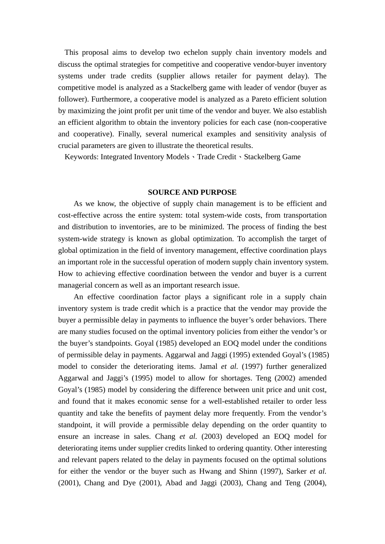This proposal aims to develop two echelon supply chain inventory models and discuss the optimal strategies for competitive and cooperative vendor-buyer inventory systems under trade credits (supplier allows retailer for payment delay). The competitive model is analyzed as a Stackelberg game with leader of vendor (buyer as follower). Furthermore, a cooperative model is analyzed as a Pareto efficient solution by maximizing the joint profit per unit time of the vendor and buyer. We also establish an efficient algorithm to obtain the inventory policies for each case (non-cooperative and cooperative). Finally, several numerical examples and sensitivity analysis of crucial parameters are given to illustrate the theoretical results.

Keywords: Integrated Inventory Models、Trade Credit、Stackelberg Game

#### **SOURCE AND PURPOSE**

As we know, the objective of supply chain management is to be efficient and cost-effective across the entire system: total system-wide costs, from transportation and distribution to inventories, are to be minimized. The process of finding the best system-wide strategy is known as global optimization. To accomplish the target of global optimization in the field of inventory management, effective coordination plays an important role in the successful operation of modern supply chain inventory system. How to achieving effective coordination between the vendor and buyer is a current managerial concern as well as an important research issue.

An effective coordination factor plays a significant role in a supply chain inventory system is trade credit which is a practice that the vendor may provide the buyer a permissible delay in payments to influence the buyer's order behaviors. There are many studies focused on the optimal inventory policies from either the vendor's or the buyer's standpoints. Goyal (1985) developed an EOQ model under the conditions of permissible delay in payments. Aggarwal and Jaggi (1995) extended Goyal's (1985) model to consider the deteriorating items. Jamal *et al.* (1997) further generalized Aggarwal and Jaggi's (1995) model to allow for shortages. Teng (2002) amended Goyal's (1985) model by considering the difference between unit price and unit cost, and found that it makes economic sense for a well-established retailer to order less quantity and take the benefits of payment delay more frequently. From the vendor's standpoint, it will provide a permissible delay depending on the order quantity to ensure an increase in sales. Chang *et al.* (2003) developed an EOQ model for deteriorating items under supplier credits linked to ordering quantity. Other interesting and relevant papers related to the delay in payments focused on the optimal solutions for either the vendor or the buyer such as Hwang and Shinn (1997), Sarker *et al.* (2001), Chang and Dye (2001), Abad and Jaggi (2003), Chang and Teng (2004),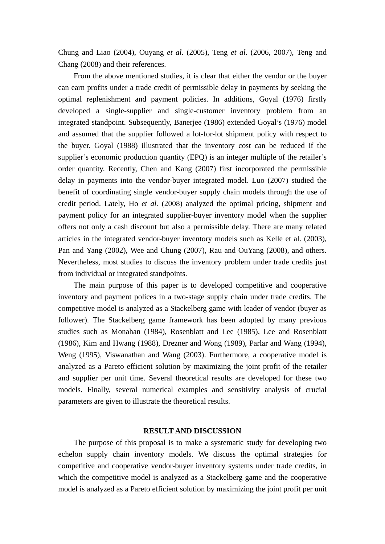Chung and Liao (2004), Ouyang *et al.* (2005), Teng *et al.* (2006, 2007), Teng and Chang (2008) and their references.

From the above mentioned studies, it is clear that either the vendor or the buyer can earn profits under a trade credit of permissible delay in payments by seeking the optimal replenishment and payment policies. In additions, Goyal (1976) firstly developed a single-supplier and single-customer inventory problem from an integrated standpoint. Subsequently, Banerjee (1986) extended Goyal's (1976) model and assumed that the supplier followed a lot-for-lot shipment policy with respect to the buyer. Goyal (1988) illustrated that the inventory cost can be reduced if the supplier's economic production quantity (EPQ) is an integer multiple of the retailer's order quantity. Recently, Chen and Kang (2007) first incorporated the permissible delay in payments into the vendor-buyer integrated model. Luo (2007) studied the benefit of coordinating single vendor-buyer supply chain models through the use of credit period. Lately, Ho *et al.* (2008) analyzed the optimal pricing, shipment and payment policy for an integrated supplier-buyer inventory model when the supplier offers not only a cash discount but also a permissible delay. There are many related articles in the integrated vendor-buyer inventory models such as Kelle et al. (2003), Pan and Yang (2002), Wee and Chung (2007), Rau and OuYang (2008), and others. Nevertheless, most studies to discuss the inventory problem under trade credits just from individual or integrated standpoints.

The main purpose of this paper is to developed competitive and cooperative inventory and payment polices in a two-stage supply chain under trade credits. The competitive model is analyzed as a Stackelberg game with leader of vendor (buyer as follower). The Stackelberg game framework has been adopted by many previous studies such as Monahan (1984), Rosenblatt and Lee (1985), Lee and Rosenblatt (1986), Kim and Hwang (1988), Drezner and Wong (1989), Parlar and Wang (1994), Weng (1995), Viswanathan and Wang (2003). Furthermore, a cooperative model is analyzed as a Pareto efficient solution by maximizing the joint profit of the retailer and supplier per unit time. Several theoretical results are developed for these two models. Finally, several numerical examples and sensitivity analysis of crucial parameters are given to illustrate the theoretical results.

### **RESULT AND DISCUSSION**

The purpose of this proposal is to make a systematic study for developing two echelon supply chain inventory models. We discuss the optimal strategies for competitive and cooperative vendor-buyer inventory systems under trade credits, in which the competitive model is analyzed as a Stackelberg game and the cooperative model is analyzed as a Pareto efficient solution by maximizing the joint profit per unit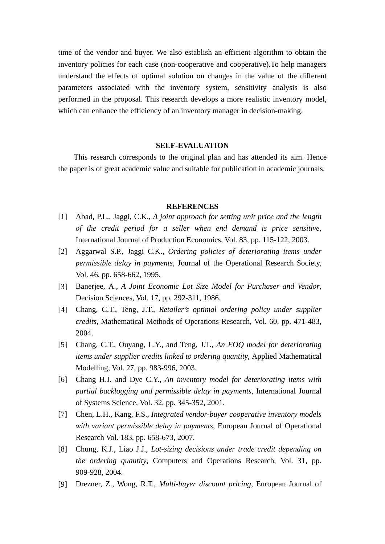time of the vendor and buyer. We also establish an efficient algorithm to obtain the inventory policies for each case (non-cooperative and cooperative).To help managers understand the effects of optimal solution on changes in the value of the different parameters associated with the inventory system, sensitivity analysis is also performed in the proposal. This research develops a more realistic inventory model, which can enhance the efficiency of an inventory manager in decision-making.

## **SELF-EVALUATION**

This research corresponds to the original plan and has attended its aim. Hence the paper is of great academic value and suitable for publication in academic journals.

### **REFERENCES**

- [1] Abad, P.L., Jaggi, C.K., *A joint approach for setting unit price and the length of the credit period for a seller when end demand is price sensitive*, International Journal of Production Economics, Vol. 83, pp. 115-122, 2003.
- [2] Aggarwal S.P., Jaggi C.K., *Ordering policies of deteriorating items under permissible delay in payments*, Journal of the Operational Research Society, Vol. 46, pp. 658-662, 1995.
- [3] Banerjee, A., *A Joint Economic Lot Size Model for Purchaser and Vendor*, Decision Sciences, Vol. 17, pp. 292-311, 1986.
- [4] Chang, C.T., Teng, J.T., *Retailer's optimal ordering policy under supplier credits*, Mathematical Methods of Operations Research, Vol. 60, pp. 471-483, 2004.
- [5] Chang, C.T., Ouyang, L.Y., and Teng, J.T., *An EOQ model for deteriorating items under supplier credits linked to ordering quantity*, Applied Mathematical Modelling, Vol. 27, pp. 983-996, 2003.
- [6] Chang H.J. and Dye C.Y., *An inventory model for deteriorating items with partial backlogging and permissible delay in payments*, International Journal of Systems Science, Vol. 32, pp. 345-352, 2001.
- [7] Chen, L.H., Kang, F.S., *Integrated vendor-buyer cooperative inventory models with variant permissible delay in payments*, European Journal of Operational Research Vol. 183, pp. 658-673, 2007.
- [8] Chung, K.J., Liao J.J., *Lot-sizing decisions under trade credit depending on the ordering quantity*, Computers and Operations Research, Vol. 31, pp. 909-928, 2004.
- [9] Drezner, Z., Wong, R.T., *Multi-buyer discount pricing*, European Journal of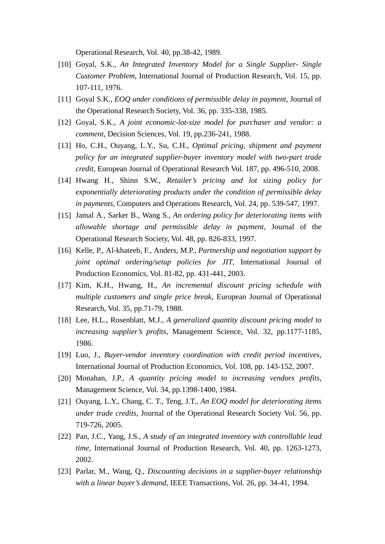Operational Research, Vol. 40, pp.38-42, 1989.

- [10] Goyal, S.K., *An Integrated Inventory Model for a Single Supplier- Single Customer Problem*, International Journal of Production Research, Vol. 15, pp. 107-111, 1976.
- [11] Goyal S.K., *EOQ under conditions of permissible delay in payment*, Journal of the Operational Research Society, Vol. 36, pp. 335-338, 1985.
- [12] Goyal, S.K., *A joint economic-lot-size model for purchaser and vendor: a comment*, Decision Sciences, Vol. 19, pp.236-241, 1988.
- [13] Ho, C.H., Ouyang, L.Y., Su, C.H., *Optimal pricing, shipment and payment policy for an integrated supplier-buyer inventory model with two-part trade credit*, European Journal of Operational Research Vol. 187, pp. 496-510, 2008.
- [14] Hwang H., Shinn S.W., *Retailer's pricing and lot sizing policy for exponentially deteriorating products under the condition of permissible delay in payments*, Computers and Operations Research, Vol. 24, pp. 539-547, 1997.
- [15] Jamal A., Sarker B., Wang S., *An ordering policy for deteriorating items with allowable shortage and permissible delay in payment*, Journal of the Operational Research Society, Vol. 48, pp. 826-833, 1997.
- [16] Kelle, P., Al-khateeb, F., Anders, M.P., *Partnership and negotiation support by joint optimal ordering/setup policies for JIT*, International Journal of Production Economics, Vol. 81-82, pp. 431-441, 2003.
- [17] Kim, K.H., Hwang, H., *An incremental discount pricing schedule with multiple customers and single price break*, European Journal of Operational Research, Vol. 35, pp.71-79, 1988.
- [18] Lee, H.L., Rosenblatt, M.J., *A generalized quantity discount pricing model to increasing supplier's profits*, Management Science, Vol. 32, pp.1177-1185, 1986.
- [19] Luo, J., *Buyer-vendor inventory coordination with credit period incentives*, International Journal of Production Economics, Vol. 108, pp. 143-152, 2007.
- [20] Monahan, J.P., *A quantity pricing model to increasing vendors profits*, Management Science, Vol. 34, pp.1398-1400, 1984.
- [21] Ouyang, L.Y., Chang, C. T., Teng, J.T., *An EOQ model for deteriorating items under trade credits*, Journal of the Operational Research Society Vol. 56, pp. 719-726, 2005.
- [22] Pan, J.C., Yang, J.S., *A study of an integrated inventory with controllable lead time*, International Journal of Production Research, Vol. 40, pp. 1263-1273, 2002.
- [23] Parlar, M., Wang, Q., *Discounting decisions in a supplier-buyer relationship with a linear buyer's demand*, IEEE Transactions, Vol. 26, pp. 34-41, 1994.